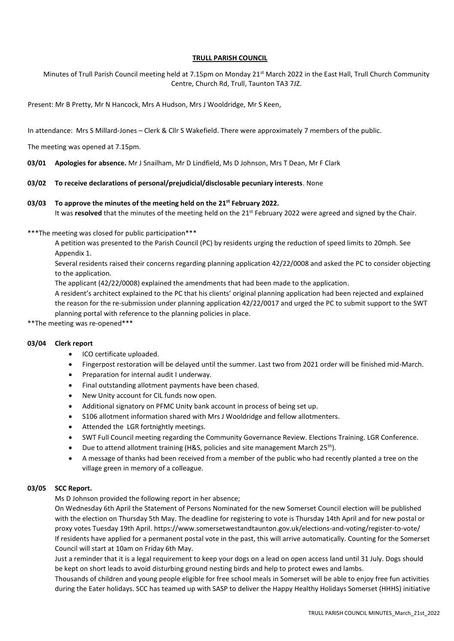## **TRULL PARISH COUNCIL**

Minutes of Trull Parish Council meeting held at 7.15pm on Monday 21<sup>st</sup> March 2022 in the East Hall, Trull Church Community Centre, Church Rd, Trull, Taunton TA3 7JZ.

Present: Mr B Pretty, Mr N Hancock, Mrs A Hudson, Mrs J Wooldridge, Mr S Keen,

In attendance: Mrs S Millard-Jones – Clerk & Cllr S Wakefield. There were approximately 7 members of the public.

The meeting was opened at 7.15pm.

**03/01 Apologies for absence.** Mr J Snailham, Mr D Lindfield, Ms D Johnson, Mrs T Dean, Mr F Clark

#### **03/02 To receive declarations of personal/prejudicial/disclosable pecuniary interests**. None

#### **03/03 To approve the minutes of the meeting held on the 21st February 2022.**

It was **resolved** that the minutes of the meeting held on the 21<sup>st</sup> February 2022 were agreed and signed by the Chair.

#### \*\*\*The meeting was closed for public participation\*\*\*

A petition was presented to the Parish Council (PC) by residents urging the reduction of speed limits to 20mph. See Appendix 1.

Several residents raised their concerns regarding planning application 42/22/0008 and asked the PC to consider objecting to the application.

The applicant (42/22/0008) explained the amendments that had been made to the application.

A resident's architect explained to the PC that his clients' original planning application had been rejected and explained the reason for the re-submission under planning application 42/22/0017 and urged the PC to submit support to the SWT planning portal with reference to the planning policies in place.

\*\*The meeting was re-opened\*\*\*

#### **03/04 Clerk report**

- ICO certificate uploaded.
- Fingerpost restoration will be delayed until the summer. Last two from 2021 order will be finished mid-March.
- Preparation for internal audit I underway.
- Final outstanding allotment payments have been chased.
- New Unity account for CIL funds now open.
- Additional signatory on PFMC Unity bank account in process of being set up.
- S106 allotment information shared with Mrs J Wooldridge and fellow allotmenters.
- Attended the LGR fortnightly meetings.
- SWT Full Council meeting regarding the Community Governance Review. Elections Training. LGR Conference.
- Due to attend allotment training (H&S, policies and site management March 25<sup>th</sup>).
- A message of thanks had been received from a member of the public who had recently planted a tree on the village green in memory of a colleague.

#### **03/05 SCC Report.**

Ms D Johnson provided the following report in her absence;

On Wednesday 6th April the Statement of Persons Nominated for the new Somerset Council election will be published with the election on Thursday 5th May. The deadline for registering to vote is Thursday 14th April and for new postal or proxy votes Tuesday 19th April. https://www.somersetwestandtaunton.gov.uk/elections-and-voting/register-to-vote/ If residents have applied for a permanent postal vote in the past, this will arrive automatically. Counting for the Somerset Council will start at 10am on Friday 6th May.

Just a reminder that it is a legal requirement to keep your dogs on a lead on open access land until 31 July. Dogs should be kept on short leads to avoid disturbing ground nesting birds and help to protect ewes and lambs.

Thousands of children and young people eligible for free school meals in Somerset will be able to enjoy free fun activities during the Eater holidays. SCC has teamed up with SASP to deliver the Happy Healthy Holidays Somerset (HHHS) initiative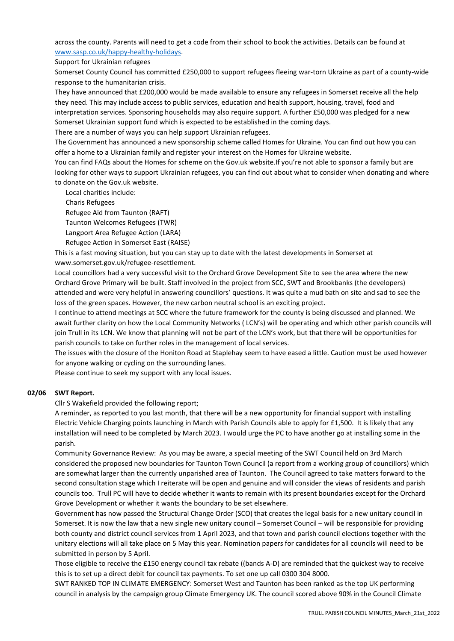across the county. Parents will need to get a code from their school to book the activities. Details can be found at [www.sasp.co.uk/happy-healthy-holidays.](http://www.sasp.co.uk/happy-healthy-holidays)

Support for Ukrainian refugees

Somerset County Council has committed £250,000 to support refugees fleeing war-torn Ukraine as part of a county-wide response to the humanitarian crisis.

They have announced that £200,000 would be made available to ensure any refugees in Somerset receive all the help they need. This may include access to public services, education and health support, housing, travel, food and interpretation services. Sponsoring households may also require support. A further £50,000 was pledged for a new Somerset Ukrainian support fund which is expected to be established in the coming days.

There are a number of ways you can help support Ukrainian refugees.

The Government has announced a new sponsorship scheme called Homes for Ukraine. You can find out how you can offer a home to a Ukrainian family and register your interest on the Homes for Ukraine website.

You can find FAQs about the Homes for scheme on the Gov.uk website.If you're not able to sponsor a family but are looking for other ways to support Ukrainian refugees, you can find out about what to consider when donating and where to donate on the Gov.uk website.

Local charities include:

Charis Refugees

Refugee Aid from Taunton (RAFT)

Taunton Welcomes Refugees (TWR)

Langport Area Refugee Action (LARA)

Refugee Action in Somerset East (RAISE)

This is a fast moving situation, but you can stay up to date with the latest developments in Somerset at www.somerset.gov.uk/refugee-resettlement.   

Local councillors had a very successful visit to the Orchard Grove Development Site to see the area where the new Orchard Grove Primary will be built. Staff involved in the project from SCC, SWT and Brookbanks (the developers) attended and were very helpful in answering councillors' questions. It was quite a mud bath on site and sad to see the loss of the green spaces. However, the new carbon neutral school is an exciting project.

I continue to attend meetings at SCC where the future framework for the county is being discussed and planned. We await further clarity on how the Local Community Networks ( LCN's) will be operating and which other parish councils will join Trull in its LCN. We know that planning will not be part of the LCN's work, but that there will be opportunities for parish councils to take on further roles in the management of local services.

The issues with the closure of the Honiton Road at Staplehay seem to have eased a little. Caution must be used however for anyone walking or cycling on the surrounding lanes.

Please continue to seek my support with any local issues.

#### **02/06 SWT Report.**

Cllr S Wakefield provided the following report;

A reminder, as reported to you last month, that there will be a new opportunity for financial support with installing Electric Vehicle Charging points launching in March with Parish Councils able to apply for £1,500. It is likely that any installation will need to be completed by March 2023. I would urge the PC to have another go at installing some in the parish.

Community Governance Review: As you may be aware, a special meeting of the SWT Council held on 3rd March considered the proposed new boundaries for Taunton Town Council (a report from a working group of councillors) which are somewhat larger than the currently unparished area of Taunton. The Council agreed to take matters forward to the second consultation stage which I reiterate will be open and genuine and will consider the views of residents and parish councils too. Trull PC will have to decide whether it wants to remain with its present boundaries except for the Orchard Grove Development or whether it wants the boundary to be set elsewhere.

Government has now passed the Structural Change Order (SCO) that creates the legal basis for a new unitary council in Somerset. It is now the law that a new single new unitary council – Somerset Council – will be responsible for providing both county and district council services from 1 April 2023, and that town and parish council elections together with the unitary elections will all take place on 5 May this year. Nomination papers for candidates for all councils will need to be submitted in person by 5 April.

Those eligible to receive the £150 energy council tax rebate ((bands A-D) are reminded that the quickest way to receive this is to set up a direct debit for council tax payments. To set one up call 0300 304 8000.

SWT RANKED TOP IN CLIMATE EMERGENCY: Somerset West and Taunton has been ranked as the top UK performing council in analysis by the campaign group Climate Emergency UK. The council scored above 90% in the Council Climate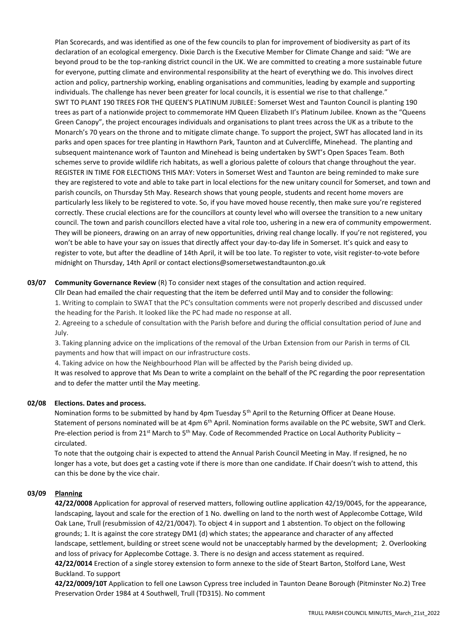Plan Scorecards, and was identified as one of the few councils to plan for improvement of biodiversity as part of its declaration of an ecological emergency. Dixie Darch is the Executive Member for Climate Change and said: "We are beyond proud to be the top-ranking district council in the UK. We are committed to creating a more sustainable future for everyone, putting climate and environmental responsibility at the heart of everything we do. This involves direct action and policy, partnership working, enabling organisations and communities, leading by example and supporting individuals. The challenge has never been greater for local councils, it is essential we rise to that challenge." SWT TO PLANT 190 TREES FOR THE QUEEN'S PLATINUM JUBILEE: Somerset West and Taunton Council is planting 190 trees as part of a nationwide project to commemorate HM Queen Elizabeth II's Platinum Jubilee. Known as the "Queens Green Canopy", the project encourages individuals and organisations to plant trees across the UK as a tribute to the Monarch's 70 years on the throne and to mitigate climate change. To support the project, SWT has allocated land in its parks and open spaces for tree planting in Hawthorn Park, Taunton and at Culvercliffe, Minehead. The planting and subsequent maintenance work of Taunton and Minehead is being undertaken by SWT's Open Spaces Team. Both schemes serve to provide wildlife rich habitats, as well a glorious palette of colours that change throughout the year. REGISTER IN TIME FOR ELECTIONS THIS MAY: Voters in Somerset West and Taunton are being reminded to make sure they are registered to vote and able to take part in local elections for the new unitary council for Somerset, and town and parish councils, on Thursday 5th May. Research shows that young people, students and recent home movers are particularly less likely to be registered to vote. So, if you have moved house recently, then make sure you're registered correctly. These crucial elections are for the councillors at county level who will oversee the transition to a new unitary council. The town and parish councillors elected have a vital role too, ushering in a new era of community empowerment. They will be pioneers, drawing on an array of new opportunities, driving real change locally. If you're not registered, you won't be able to have your say on issues that directly affect your day-to-day life in Somerset. It's quick and easy to register to vote, but after the deadline of 14th April, it will be too late. To register to vote, visit register-to-vote before midnight on Thursday, 14th April or contact elections@somersetwestandtaunton.go.uk

## **03/07 Community Governance Review** (R) To consider next stages of the consultation and action required.

Cllr Dean had emailed the chair requesting that the item be deferred until May and to consider the following: 1. Writing to complain to SWAT that the PC's consultation comments were not properly described and discussed under the heading for the Parish. It looked like the PC had made no response at all.

2. Agreeing to a schedule of consultation with the Parish before and during the official consultation period of June and July.

3. Taking planning advice on the implications of the removal of the Urban Extension from our Parish in terms of CIL payments and how that will impact on our infrastructure costs.

4. Taking advice on how the Neighbourhood Plan will be affected by the Parish being divided up.

It was resolved to approve that Ms Dean to write a complaint on the behalf of the PC regarding the poor representation and to defer the matter until the May meeting.

## **02/08 Elections. Dates and process.**

Nomination forms to be submitted by hand by 4pm Tuesday 5<sup>th</sup> April to the Returning Officer at Deane House. Statement of persons nominated will be at 4pm 6<sup>th</sup> April. Nomination forms available on the PC website, SWT and Clerk. Pre-election period is from  $21^{st}$  March to 5<sup>th</sup> May. Code of Recommended Practice on Local Authority Publicity – circulated.

To note that the outgoing chair is expected to attend the Annual Parish Council Meeting in May. If resigned, he no longer has a vote, but does get a casting vote if there is more than one candidate. If Chair doesn't wish to attend, this can this be done by the vice chair.

## **03/09 Planning**

**42/22/0008** Application for approval of reserved matters, following outline application 42/19/0045, for the appearance, landscaping, layout and scale for the erection of 1 No. dwelling on land to the north west of Applecombe Cottage, Wild Oak Lane, Trull (resubmission of 42/21/0047). To object 4 in support and 1 abstention. To object on the following grounds; 1. It is against the core strategy DM1 (d) which states; the appearance and character of any affected landscape, settlement, building or street scene would not be unacceptably harmed by the development; 2. Overlooking and loss of privacy for Applecombe Cottage. 3. There is no design and access statement as required.

**42/22/0014** Erection of a single storey extension to form annexe to the side of Steart Barton, Stolford Lane, West Buckland. To support

**42/22/0009/10T** Application to fell one Lawson Cypress tree included in Taunton Deane Borough (Pitminster No.2) Tree Preservation Order 1984 at 4 Southwell, Trull (TD315). No comment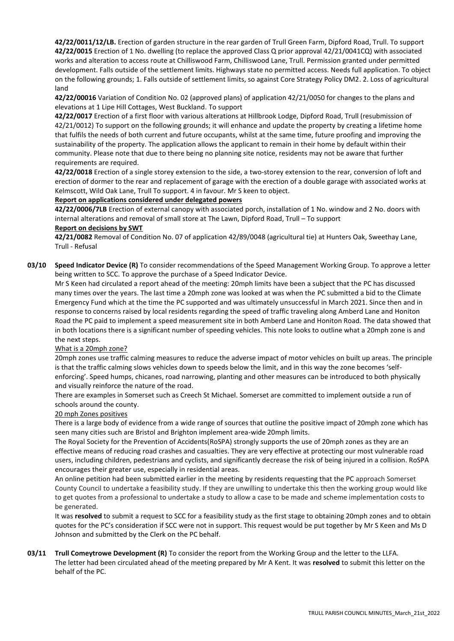**42/22/0011/12/LB.** Erection of garden structure in the rear garden of Trull Green Farm, Dipford Road, Trull. To support **42/22/0015** Erection of 1 No. dwelling (to replace the approved Class Q prior approval 42/21/0041CQ) with associated works and alteration to access route at Chilliswood Farm, Chilliswood Lane, Trull. Permission granted under permitted development. Falls outside of the settlement limits. Highways state no permitted access. Needs full application. To object on the following grounds; 1. Falls outside of settlement limits, so against Core Strategy Policy DM2. 2. Loss of agricultural land

**42/22/00016** Variation of Condition No. 02 (approved plans) of application 42/21/0050 for changes to the plans and elevations at 1 Lipe Hill Cottages, West Buckland. To support

**42/22/0017** Erection of a first floor with various alterations at Hillbrook Lodge, Dipford Road, Trull (resubmission of 42/21/0012) To support on the following grounds; it will enhance and update the property by creating a lifetime home that fulfils the needs of both current and future occupants, whilst at the same time, future proofing and improving the sustainability of the property. The application allows the applicant to remain in their home by default within their community. Please note that due to there being no planning site notice, residents may not be aware that further requirements are required.

**42/22/0018** Erection of a single storey extension to the side, a two-storey extension to the rear, conversion of loft and erection of dormer to the rear and replacement of garage with the erection of a double garage with associated works at Kelmscott, Wild Oak Lane, Trull To support. 4 in favour. Mr S keen to object.

## **Report on applications considered under delegated powers**

**42/22/0006/7LB** Erection of external canopy with associated porch, installation of 1 No. window and 2 No. doors with internal alterations and removal of small store at The Lawn, Dipford Road, Trull – To support

# **Report on decisions by SWT**

**42/21/0082** Removal of Condition No. 07 of application 42/89/0048 (agricultural tie) at Hunters Oak, Sweethay Lane, Trull - Refusal

**03/10 Speed Indicator Device (R)** To consider recommendations of the Speed Management Working Group. To approve a letter being written to SCC. To approve the purchase of a Speed Indicator Device.

Mr S Keen had circulated a report ahead of the meeting: 20mph limits have been a subject that the PC has discussed many times over the years. The last time a 20mph zone was looked at was when the PC submitted a bid to the Climate Emergency Fund which at the time the PC supported and was ultimately unsuccessful in March 2021. Since then and in response to concerns raised by local residents regarding the speed of traffic traveling along Amberd Lane and Honiton Road the PC paid to implement a speed measurement site in both Amberd Lane and Honiton Road. The data showed that in both locations there is a significant number of speeding vehicles. This note looks to outline what a 20mph zone is and the next steps.

## What is a 20mph zone?

20mph zones use traffic calming measures to reduce the adverse impact of motor vehicles on built up areas. The principle is that the traffic calming slows vehicles down to speeds below the limit, and in this way the zone becomes 'selfenforcing'. Speed humps, chicanes, road narrowing, planting and other measures can be introduced to both physically and visually reinforce the nature of the road.

There are examples in Somerset such as Creech St Michael. Somerset are committed to implement outside a run of schools around the county.

## 20 mph Zones positives

There is a large body of evidence from a wide range of sources that outline the positive impact of 20mph zone which has seen many cities such are Bristol and Brighton implement area-wide 20mph limits.

The Royal Society for the Prevention of Accidents(RoSPA) strongly supports the use of 20mph zones as they are an effective means of reducing road crashes and casualties. They are very effective at protecting our most vulnerable road users, including children, pedestrians and cyclists, and significantly decrease the risk of being injured in a collision. RoSPA encourages their greater use, especially in residential areas.

An online petition had been submitted earlier in the meeting by residents requesting that the PC approach Somerset County Council to undertake a feasibility study. If they are unwilling to undertake this then the working group would like to get quotes from a professional to undertake a study to allow a case to be made and scheme implementation costs to be generated.

It was **resolved** to submit a request to SCC for a feasibility study as the first stage to obtaining 20mph zones and to obtain quotes for the PC's consideration if SCC were not in support. This request would be put together by Mr S Keen and Ms D Johnson and submitted by the Clerk on the PC behalf.

## **03/11 Trull Comeytrowe Development (R)** To consider the report from the Working Group and the letter to the LLFA. The letter had been circulated ahead of the meeting prepared by Mr A Kent. It was **resolved** to submit this letter on the behalf of the PC.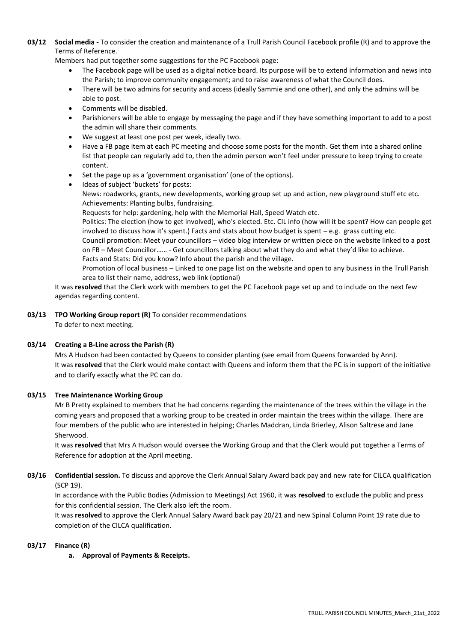**03/12 Social media -** To consider the creation and maintenance of a Trull Parish Council Facebook profile (R) and to approve the Terms of Reference.

Members had put together some suggestions for the PC Facebook page:

- The Facebook page will be used as a digital notice board. Its purpose will be to extend information and news into the Parish; to improve community engagement; and to raise awareness of what the Council does.
- There will be two admins for security and access (ideally Sammie and one other), and only the admins will be able to post.
- Comments will be disabled.
- Parishioners will be able to engage by messaging the page and if they have something important to add to a post the admin will share their comments.
- We suggest at least one post per week, ideally two.
- Have a FB page item at each PC meeting and choose some posts for the month. Get them into a shared online list that people can regularly add to, then the admin person won't feel under pressure to keep trying to create content.
- Set the page up as a 'government organisation' (one of the options).

Ideas of subject 'buckets' for posts: News: roadworks, grants, new developments, working group set up and action, new playground stuff etc etc. Achievements: Planting bulbs, fundraising.

Requests for help: gardening, help with the Memorial Hall, Speed Watch etc.

Politics: The election (how to get involved), who's elected. Etc. CIL info (how will it be spent? How can people get involved to discuss how it's spent.) Facts and stats about how budget is spent – e.g. grass cutting etc.

Council promotion: Meet your councillors – video blog interview or written piece on the website linked to a post on FB – Meet Councillor…… - Get councillors talking about what they do and what they'd like to achieve. Facts and Stats: Did you know? Info about the parish and the village.

Promotion of local business – Linked to one page list on the website and open to any business in the Trull Parish area to list their name, address, web link (optional)

It was **resolved** that the Clerk work with members to get the PC Facebook page set up and to include on the next few agendas regarding content.

**03/13 TPO Working Group report (R)** To consider recommendations To defer to next meeting.

## **03/14 Creating a B-Line across the Parish (R)**

Mrs A Hudson had been contacted by Queens to consider planting (see email from Queens forwarded by Ann). It was **resolved** that the Clerk would make contact with Queens and inform them that the PC is in support of the initiative and to clarify exactly what the PC can do.

## **03/15 Tree Maintenance Working Group**

Mr B Pretty explained to members that he had concerns regarding the maintenance of the trees within the village in the coming years and proposed that a working group to be created in order maintain the trees within the village. There are four members of the public who are interested in helping; Charles Maddran, Linda Brierley, Alison Saltrese and Jane Sherwood.

It was **resolved** that Mrs A Hudson would oversee the Working Group and that the Clerk would put together a Terms of Reference for adoption at the April meeting.

**03/16 Confidential session.** To discuss and approve the Clerk Annual Salary Award back pay and new rate for CILCA qualification (SCP 19).

In accordance with the Public Bodies (Admission to Meetings) Act 1960, it was **resolved** to exclude the public and press for this confidential session. The Clerk also left the room.

It was **resolved** to approve the Clerk Annual Salary Award back pay 20/21 and new Spinal Column Point 19 rate due to completion of the CILCA qualification.

## **03/17 Finance (R)**

**a. Approval of Payments & Receipts.**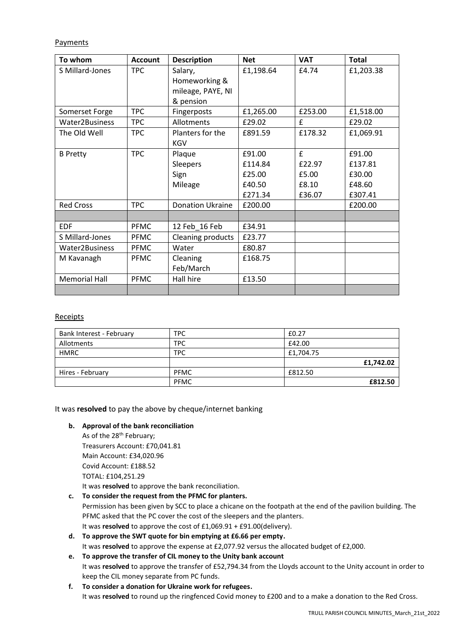Payments

| To whom              | <b>Account</b> | <b>Description</b>      | <b>Net</b> | <b>VAT</b> | <b>Total</b> |
|----------------------|----------------|-------------------------|------------|------------|--------------|
| S Millard-Jones      | <b>TPC</b>     | Salary,                 | £1,198.64  | £4.74      | £1,203.38    |
|                      |                | Homeworking &           |            |            |              |
|                      |                | mileage, PAYE, NI       |            |            |              |
|                      |                | & pension               |            |            |              |
| Somerset Forge       | <b>TPC</b>     | Fingerposts             | £1,265.00  | £253.00    | £1,518.00    |
| Water2Business       | <b>TPC</b>     | Allotments              | £29.02     | £          | £29.02       |
| The Old Well         | <b>TPC</b>     | Planters for the        | £891.59    | £178.32    | £1,069.91    |
|                      |                | <b>KGV</b>              |            |            |              |
| <b>B</b> Pretty      | <b>TPC</b>     | Plaque                  | £91.00     | £          | £91.00       |
|                      |                | <b>Sleepers</b>         | £114.84    | £22.97     | £137.81      |
|                      |                | Sign                    | £25.00     | £5.00      | £30.00       |
|                      |                | Mileage                 | £40.50     | £8.10      | £48.60       |
|                      |                |                         | £271.34    | £36.07     | £307.41      |
| <b>Red Cross</b>     | <b>TPC</b>     | <b>Donation Ukraine</b> | £200.00    |            | £200.00      |
|                      |                |                         |            |            |              |
| <b>EDF</b>           | <b>PFMC</b>    | 12 Feb 16 Feb           | £34.91     |            |              |
| S Millard-Jones      | <b>PFMC</b>    | Cleaning products       | £23.77     |            |              |
| Water2Business       | <b>PFMC</b>    | Water                   | £80.87     |            |              |
| M Kavanagh           | <b>PFMC</b>    | Cleaning                | £168.75    |            |              |
|                      |                | Feb/March               |            |            |              |
| <b>Memorial Hall</b> | <b>PFMC</b>    | Hall hire               | £13.50     |            |              |
|                      |                |                         |            |            |              |

## Receipts

| Bank Interest - February | <b>TPC</b>  | £0.27     |
|--------------------------|-------------|-----------|
| Allotments               | <b>TPC</b>  | £42.00    |
| <b>HMRC</b>              | <b>TPC</b>  | £1,704.75 |
|                          |             | £1,742.02 |
| Hires - February         | <b>PFMC</b> | £812.50   |
|                          | <b>PFMC</b> | £812.50   |

It was **resolved** to pay the above by cheque/internet banking

## **b. Approval of the bank reconciliation**

As of the 28<sup>th</sup> February; Treasurers Account: £70,041.81 Main Account: £34,020.96 Covid Account: £188.52 TOTAL: £104,251.29 It was **resolved** to approve the bank reconciliation.

**c. To consider the request from the PFMC for planters.**

Permission has been given by SCC to place a chicane on the footpath at the end of the pavilion building. The PFMC asked that the PC cover the cost of the sleepers and the planters. It was **resolved** to approve the cost of £1,069.91 + £91.00(delivery).

- **d. To approve the SWT quote for bin emptying at £6.66 per empty.** It was **resolved** to approve the expense at £2,077.92 versus the allocated budget of £2,000.
- **e. To approve the transfer of CIL money to the Unity bank account** It was **resolved** to approve the transfer of £52,794.34 from the Lloyds account to the Unity account in order to keep the CIL money separate from PC funds.
- **f. To consider a donation for Ukraine work for refugees.** It was **resolved** to round up the ringfenced Covid money to £200 and to a make a donation to the Red Cross.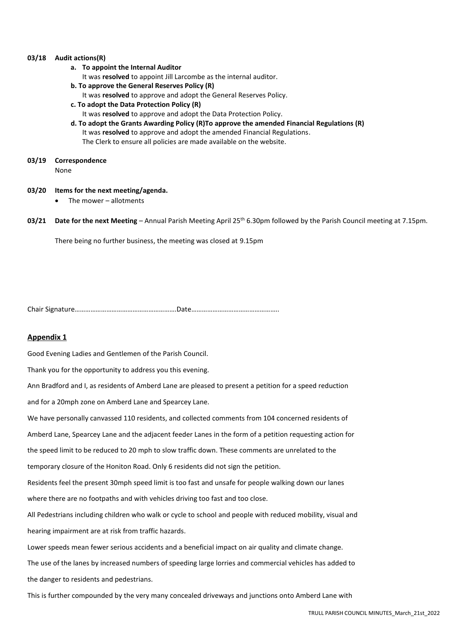#### **03/18 Audit actions(R)**

- **a. To appoint the Internal Auditor**
	- It was **resolved** to appoint Jill Larcombe as the internal auditor.
- **b. To approve the General Reserves Policy (R)**
	- It was **resolved** to approve and adopt the General Reserves Policy.
- **c. To adopt the Data Protection Policy (R)**
- It was **resolved** to approve and adopt the Data Protection Policy.
- **d. To adopt the Grants Awarding Policy (R)To approve the amended Financial Regulations (R)**  It was **resolved** to approve and adopt the amended Financial Regulations. The Clerk to ensure all policies are made available on the website.
- **03/19 Correspondence**

None

- **03/20 Items for the next meeting/agenda.**
	- The mower  $-$  allotments
- **03/21 Date for the next Meeting**  Annual Parish Meeting April 25th 6.30pm followed by the Parish Council meeting at 7.15pm.

There being no further business, the meeting was closed at 9.15pm

Chair Signature………………………………………………….Date…………………………………………..

#### **Appendix 1**

Good Evening Ladies and Gentlemen of the Parish Council.

Thank you for the opportunity to address you this evening.

Ann Bradford and I, as residents of Amberd Lane are pleased to present a petition for a speed reduction

and for a 20mph zone on Amberd Lane and Spearcey Lane.

We have personally canvassed 110 residents, and collected comments from 104 concerned residents of

Amberd Lane, Spearcey Lane and the adjacent feeder Lanes in the form of a petition requesting action for

the speed limit to be reduced to 20 mph to slow traffic down. These comments are unrelated to the

temporary closure of the Honiton Road. Only 6 residents did not sign the petition.

Residents feel the present 30mph speed limit is too fast and unsafe for people walking down our lanes

where there are no footpaths and with vehicles driving too fast and too close.

All Pedestrians including children who walk or cycle to school and people with reduced mobility, visual and hearing impairment are at risk from traffic hazards.

Lower speeds mean fewer serious accidents and a beneficial impact on air quality and climate change.

The use of the lanes by increased numbers of speeding large lorries and commercial vehicles has added to

the danger to residents and pedestrians.

This is further compounded by the very many concealed driveways and junctions onto Amberd Lane with